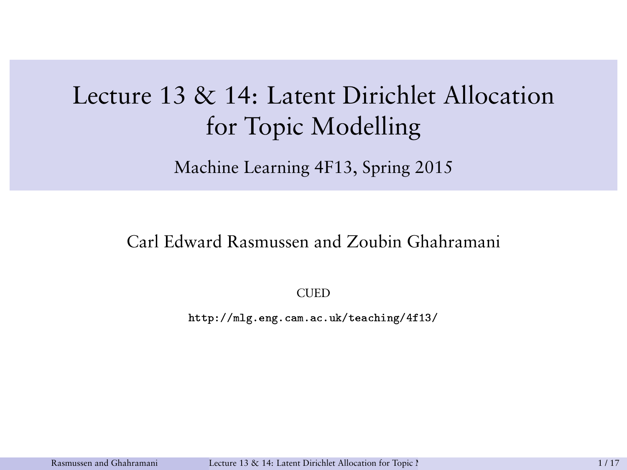## Lecture 13 & 14: Latent Dirichlet Allocation for Topic Modelling

Machine Learning 4F13, Spring 2015

#### Carl Edward Rasmussen and Zoubin Ghahramani

<span id="page-0-0"></span>CUED

http://mlg.eng.cam.ac.uk/teaching/4f13/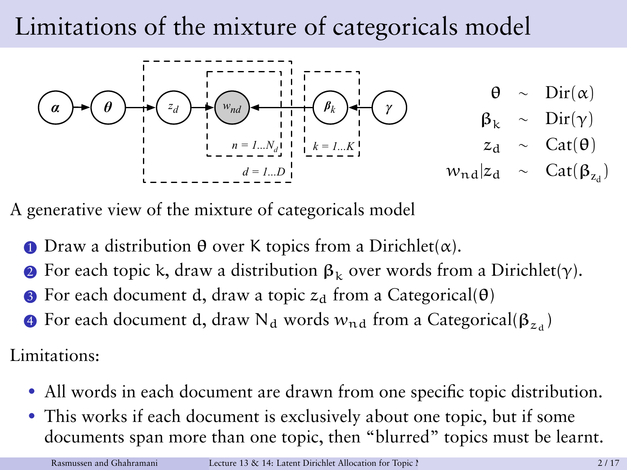## Limitations of the mixture of categoricals model



A generative view of the mixture of categoricals model

- **1** Draw a distribution  $θ$  over K topics from a Dirichlet( $α$ ).
- **2** For each topic k, draw a distribution  $\beta_k$  over words from a Dirichlet(γ).
- For each document d, draw a topic  $z_d$  from a Categorical( $\theta$ )
- $\bullet$  For each document d, draw N<sub>d</sub> words  $w_{\rm nd}$  from a Categorical( $\boldsymbol \beta_{z_d})$

Limitations:

- All words in each document are drawn from one specific topic distribution.
- This works if each document is exclusively about one topic, but if some documents span more than one topic, then "blurred" topics must be learnt.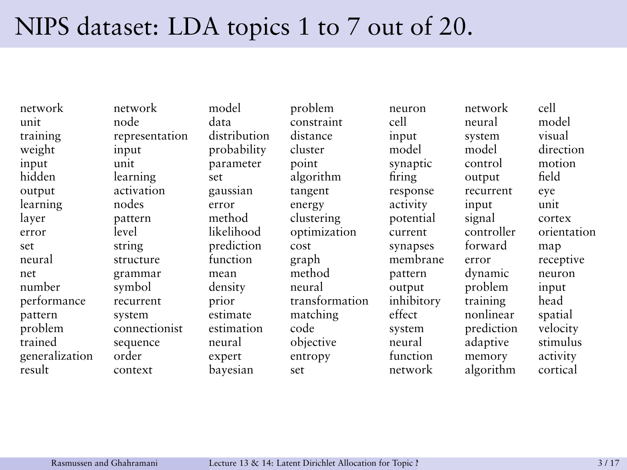#### NIPS dataset: LDA topics 1 to 7 out of 20.

network network model problem neuron network cell unit node data constraint cell neural model training representation distribution distance input system visual<br>
weight input probability cluster model model direction weight input probability cluster model model direction input unit parameter point synaptic control motion hidden learning set algorithm firing output field output activation gaussian tangent response recurrent eye learning nodes error energy activity input unit layer pattern method clustering potential signal cortex error level likelihood optimization current controller orientation set string prediction cost synapses forward map neural structure function graph membrane error receptive net grammar mean method pattern dynamic neuron number symbol density neural output problem input performance recurrent prior transformation inhibitory training head pattern system estimate matching effect nonlinear spatial problem connectionist estimation code system prediction velocity trained sequence neural objective neural adaptive stimulus generalization order expert entropy function memory activity result context bayesian set network algorithm cortical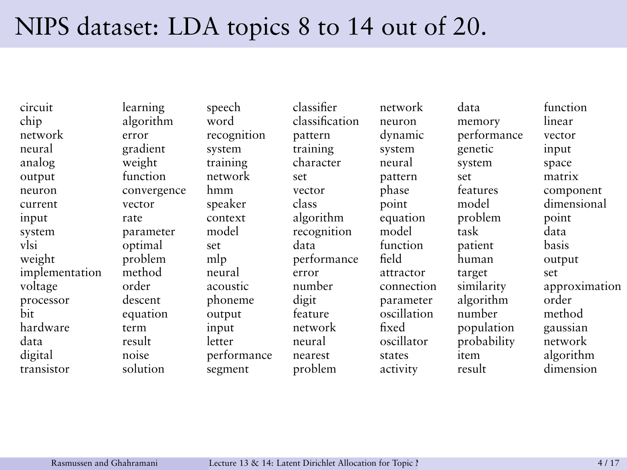### NIPS dataset: LDA topics 8 to 14 out of 20.

chip algorithm word classification neuron memory linear network error recognition pattern dynamic performance vector neural gradient system training system genetic input analog weight training character neural system space output function network set pattern set matrix neuron convergence hmm vector phase features component current vector speaker class point model dimensional input rate context algorithm equation problem point system parameter model recognition model task data vlsi optimal set data function patient basis weight problem mlp performance field human output implementation method neural error attractor target set processor descent phoneme digit parameter algorithm order bit equation output feature oscillation number method hardware term input network fixed population gaussian data result letter neural oscillator probability network digital noise performance nearest states item algorithm

circuit learning speech classifier network data function

transistor solution segment problem activity result dimension

voltage order acoustic number connection similarity approximation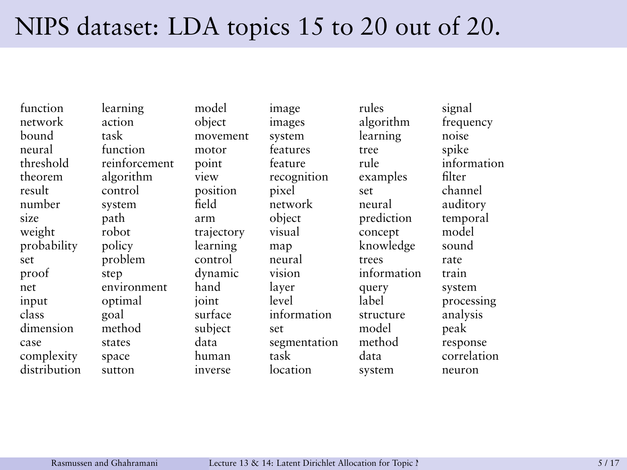## NIPS dataset: LDA topics 15 to 20 out of 20.

function learning model image rules signal network action object images algorithm frequency bound task movement system learning noise neural function motor features tree spike threshold reinforcement point feature rule information theorem algorithm view recognition examples filter<br>result control position pixel set channel result control position pixel set channel number system field network neural auditory size path arm object prediction temporal weight robot trajectory visual concept model probability policy learning map knowledge sound set problem control neural trees rate proof step dynamic vision information train net environment hand layer query system input optimal joint level label processing class goal surface information structure analysis dimension method subject set model peak case states data segmentation method response complexity space human task data correlation distribution sutton inverse location system neuron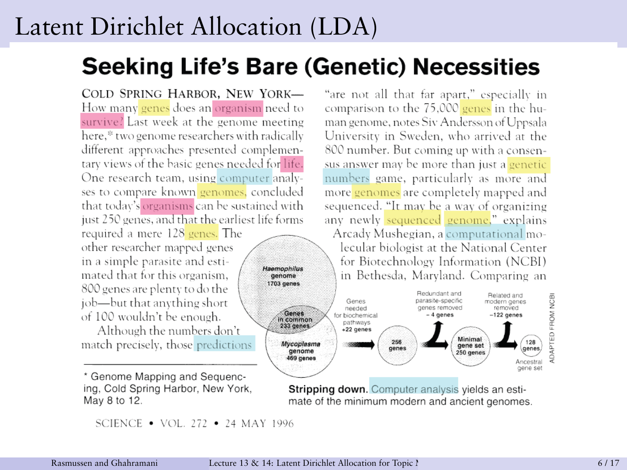#### Latent Dirichlet Allocation (LDA)

#### **Seeking Life's Bare (Genetic) Necessities**

Haemonhilus

genome

COLD SPRING HARBOR, NEW YORK-How many genes does an organism need to survive? Last week at the genome meeting here,\* two genome researchers with radically different approaches presented complementary views of the basic genes needed for life. One research team, using computer analyses to compare known genomes, concluded that today's organisms can be sustained with just 250 genes, and that the earliest life forms

required a mere 128 genes. The other researcher mapped genes in a simple parasite and estimated that for this organism. 800 genes are plenty to do the job—but that anything short of 100 wouldn't be enough.

Although the numbers don't match precisely, those predictions

\* Genome Mapping and Sequencing, Cold Spring Harbor, New York, May 8 to 12.

SCIENCE . VOL. 272 . 24 MAY 1996

"are not all that far apart." especially in comparison to the 75,000 genes in the human genome, notes Siv Andersson of Uppsala University in Sweden, who arrived at the 800 number. But coming up with a consensus answer may be more than just a genetic numbers game, particularly as more and more genomes are completely mapped and sequenced. "It may be a way of organizing any newly sequenced genome," explains Arcady Mushegian, a computational molecular biologist at the National Center for Biotechnology Information (NCBI) in Bethesda, Marvland. Comparing an



Stripping down. Computer analysis vields an estimate of the minimum modern and ancient genomes.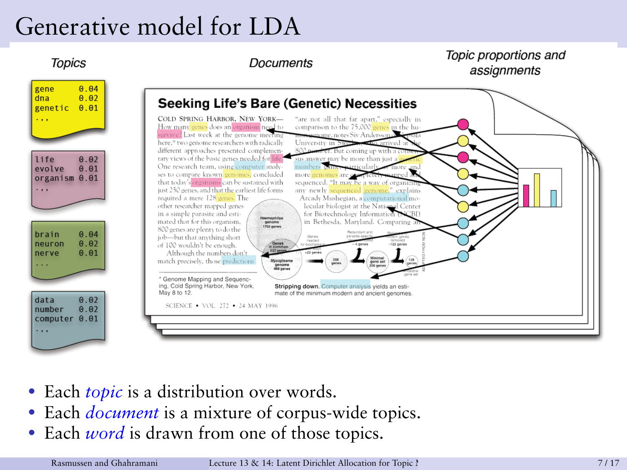## Generative model for LDA



- Each *topic* is a distribution over words.
- Each *document* is a mixture of corpus-wide topics.
- Each *word* is drawn from one of those topics.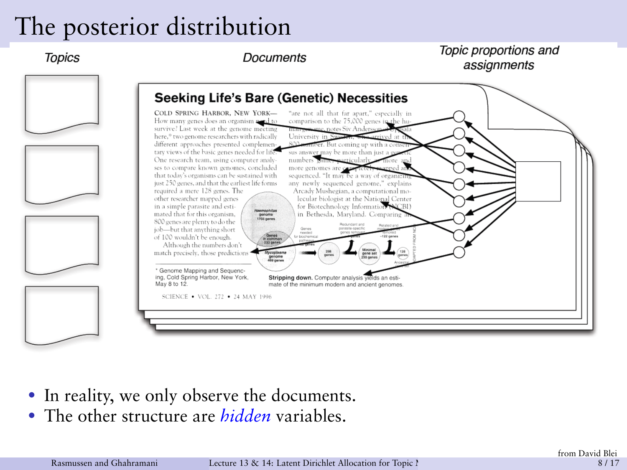#### The posterior distribution

**Topics** 

**Documents** 

Topic proportions and assignments



- In reality, we only observe the documents.
- The other structure are *hidden* variables.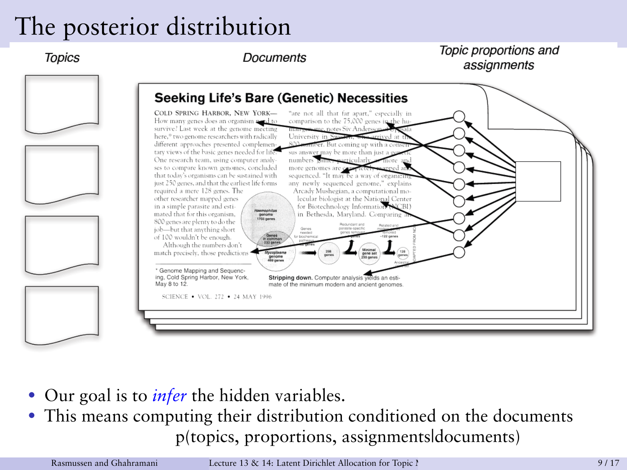#### The posterior distribution

**Topics** 

**Documents** 

Topic proportions and assignments



- Our goal is to *infer* the hidden variables.
- This means computing their distribution conditioned on the documents p(topics, proportions, assignments|documents)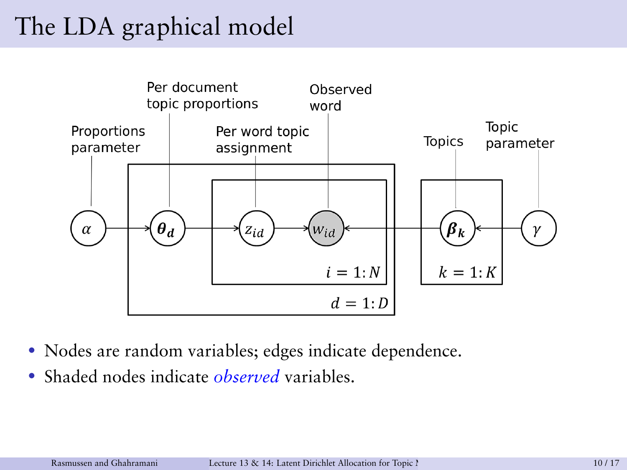## The LDA graphical model



- Nodes are random variables; edges indicate dependence.
- Shaded nodes indicate *observed* variables.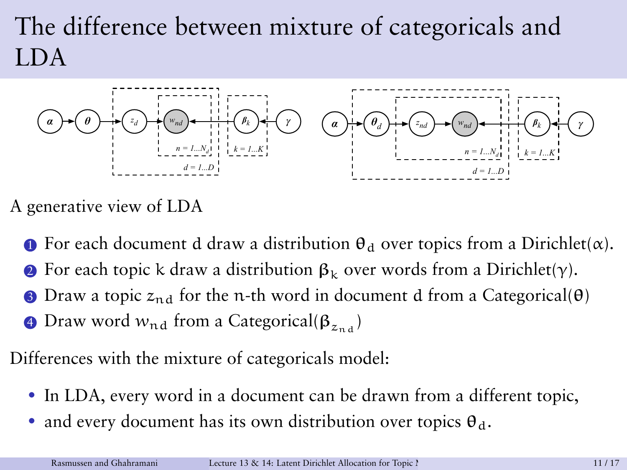# The difference between mixture of categoricals and LDA



A generative view of LDA

- **1** For each document d draw a distribution  $\theta_d$  over topics from a Dirichlet( $\alpha$ ).
- For each topic k draw a distribution  $\beta_k$  over words from a Dirichlet(γ).
- Draw a topic  $z_{n,d}$  for the n-th word in document d from a Categorical( $\theta$ )
- **4** Draw word  $w_{nd}$  from a Categorical( $\beta_{znd}$ )

Differences with the mixture of categoricals model:

- In LDA, every word in a document can be drawn from a different topic,
- and every document has its own distribution over topics  $\theta_d$ .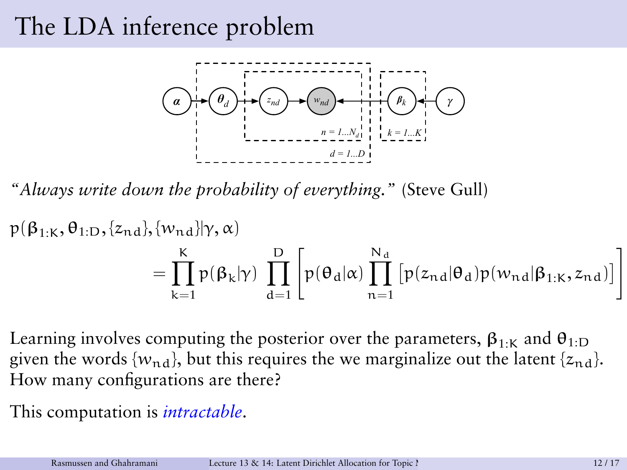## The LDA inference problem



*"Always write down the probability of everything."* (Steve Gull)

$$
p(\beta_{1:K}, \theta_{1:D}, \{z_{nd}\}, \{w_{nd}\} | \gamma, \alpha)
$$
  
= 
$$
\prod_{k=1}^{K} p(\beta_k | \gamma) \prod_{d=1}^{D} \left[ p(\theta_d | \alpha) \prod_{n=1}^{N_d} \left[ p(z_{nd} | \theta_d) p(w_{nd} | \beta_{1:K}, z_{nd}) \right] \right]
$$

Learning involves computing the posterior over the parameters,  $\beta_{1:k}$  and  $\theta_{1:D}$ given the words  ${w_{nd}}$ , but this requires the we marginalize out the latent  ${z_{nd}}$ . How many configurations are there?

This computation is *intractable*.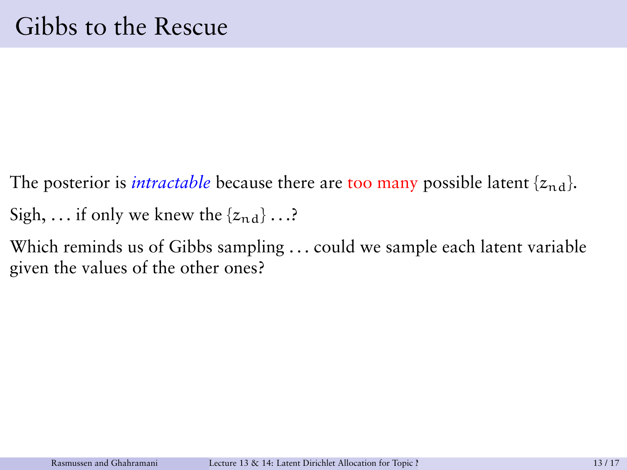- The posterior is *intractable* because there are too many possible latent  $\{z_{nd}\}$ . Sigh, ... if only we knew the  $\{z_{nd}\}\dots$ ?
- Which reminds us of Gibbs sampling . . . could we sample each latent variable given the values of the other ones?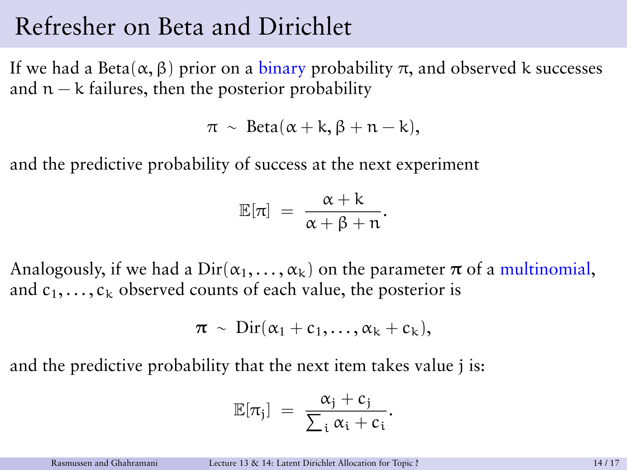#### Refresher on Beta and Dirichlet

If we had a Beta( $\alpha$ , β) prior on a binary probability π, and observed k successes and  $n - k$  failures, then the posterior probability

$$
\pi \sim \text{Beta}(\alpha + k, \beta + n - k),
$$

and the predictive probability of success at the next experiment

$$
\mathbb{E}[\pi] = \frac{\alpha + k}{\alpha + \beta + n}.
$$

Analogously, if we had a  $Dir(\alpha_1, \ldots, \alpha_k)$  on the parameter  $\pi$  of a multinomial, and  $c_1, \ldots, c_k$  observed counts of each value, the posterior is

$$
\pi \sim \text{Dir}(\alpha_1+c_1,\ldots,\alpha_k+c_k),
$$

and the predictive probability that the next item takes value j is:

$$
\mathbb{E}[\pi_j] \;=\; \frac{\alpha_j+c_j}{\sum_i \alpha_i+c_i}.
$$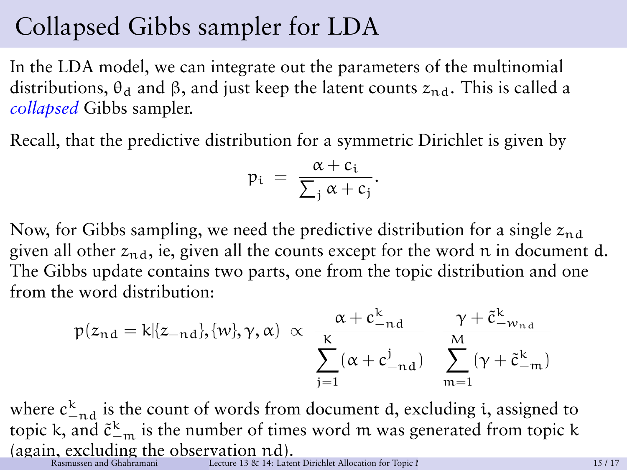#### Collapsed Gibbs sampler for LDA

In the LDA model, we can integrate out the parameters of the multinomial distributions,  $\theta_d$  and  $\beta$ , and just keep the latent counts  $z_{nd}$ . This is called a *collapsed* Gibbs sampler.

Recall, that the predictive distribution for a symmetric Dirichlet is given by

$$
p_i = \frac{\alpha + c_i}{\sum_j \alpha + c_j}.
$$

Now, for Gibbs sampling, we need the predictive distribution for a single  $z_{nd}$ given all other  $z_{nd}$ , ie, given all the counts except for the word n in document d. The Gibbs update contains two parts, one from the topic distribution and one from the word distribution:

$$
p(z_{nd} = k | \{z_{-nd}\}, \{w\}, \gamma, \alpha) \propto \frac{\alpha + c_{-nd}^k}{\sum_{j=1}^K (\alpha + c_{-nd}^j)} \frac{\gamma + \tilde{c}_{-w_{nd}}^k}{\sum_{m=1}^M (\gamma + \tilde{c}_{-m}^k)}
$$

where  $c_{-nd}^k$  is the count of words from document d, excluding i, assigned to topic k, and  $\tilde{c}_{-m}^{\mathbf{k}}$  is the number of times word  $m$  was generated from topic k (again, excluding the observation  $nd$ ). Recture 13 & 14: Latent Dirichlet Allocation for Topic Modelling 15 / 17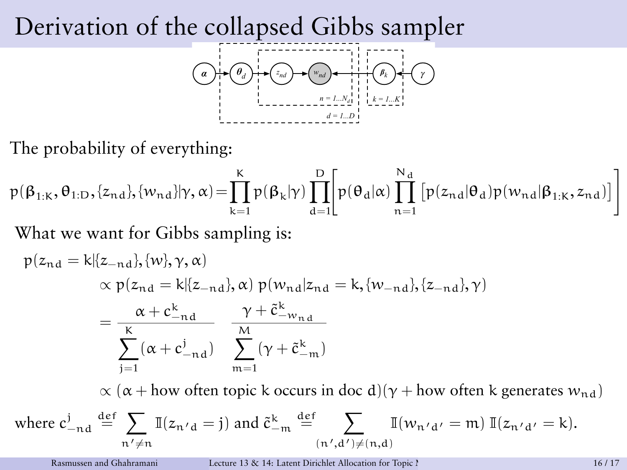#### Derivation of the collapsed Gibbs sampler



The probability of everything:

$$
p(\beta_{1:K}, \theta_{1:D}, \{z_{nd}\}, \{w_{nd}\} | \gamma, \alpha) = \prod_{k=1}^{K} p(\beta_k | \gamma) \prod_{d=1}^{D} \left[ p(\theta_d | \alpha) \prod_{n=1}^{N_d} \left[ p(z_{nd} | \theta_d) p(w_{nd} | \beta_{1:K}, z_{nd}) \right] \right]
$$

What we want for Gibbs sampling is:

$$
p(z_{nd} = k | \{z_{-nd}\}, \{w\}, \gamma, \alpha)
$$
  
\n
$$
\propto p(z_{nd} = k | \{z_{-nd}\}, \alpha) p(w_{nd} | z_{nd} = k, \{w_{-nd}\}, \{z_{-nd}\}, \gamma)
$$
  
\n
$$
= \frac{\alpha + c_{-nd}^k}{\sum_{j=1}^K (\alpha + c_{-nd}^j)} \frac{\gamma + \tilde{c}_{-w_{nd}}^k}{\sum_{m=1}^M (\gamma + \tilde{c}_{-m}^k)}
$$
  
\n
$$
\propto (\alpha + \text{how often topic k occurs in doc d})(\gamma + \text{how often k generates } w_{nd})
$$
  
\nwhere  $c_{-nd}^j \stackrel{\text{def}}{=} \sum_{n' \neq n} \mathbb{I}(z_{n'd} = j)$  and  $\tilde{c}_{-m}^k \stackrel{\text{def}}{=} \sum_{(n',d') \neq (n,d)} \mathbb{I}(w_{n'd'} = m) \mathbb{I}(z_{n'd'} = k)$ .